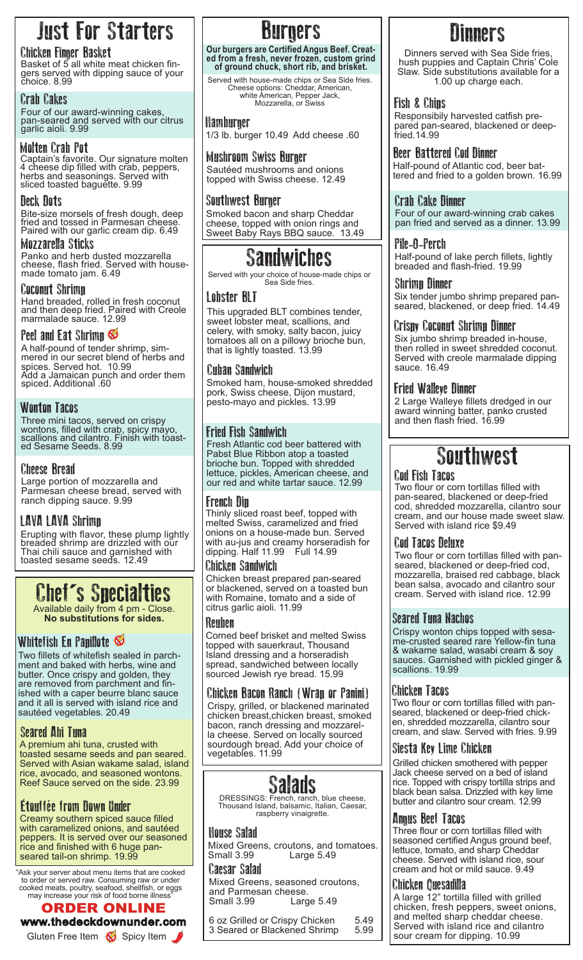## Just For Starters

**Chicken Finger Basket**<br>Basket of 5 all white meat chicken fin-Basket of 5 all white meat chicken fin-<br>gers served with dipping sauce of your choice. 8.99

### Crab Cakes

Four of our award-winning cakes, pan-seared and served with our citrus garlic aioli. 9.99

### Molten Crab Pot

Captain's favorite. Our signature molten 4 cheese dip filled with crab, peppers, herbs and seasonings. Served with sliced toasted baguette. 9.99

### Deck Dots

Bite-size morsels of fresh dough, deep fried and tossed in Parmesan cheese. Paired with our garlic cream dip. 6.49

Mozzarella Sticks Panko and herb dusted mozzarella cheese, flash fried. Served with housemade tomato jam. 6.49

### Coconut Shrimp

Hand breaded, rolled in fresh coconut and then deep fried. Paired with Creole marmalade sauce. 12.99

### Peel and Eat Shrimp

A half-pound of tender shrimp, sim- mered in our secret blend of herbs and spices. Served hot. 10.99<br>Add a Jamaican punch and order them spiced. Additional .60

### Wonton Tacos

Three mini tacos, served on crispy wontons, filled with crab, spicy mayo, scallions and cilantro. Finish with toast-<br>ed Sesame Seeds. 8.99

### Cheese Bread

Large portion of mozzarella and Parmesan cheese bread, served with ranch dipping sauce. 9.99

### LAVA LAVA Shrimp

Erupting with flavor, these plump lightly breaded shrimp are drizzled with our Thai chili sauce and garnished with toasted sesame seeds. 12.49

## Chef's Specialties

Available daily from 4 pm - Close. **No substitutions for sides.**

### Whitefish En Papillote

Two fillets of whitefish sealed in parchment and baked with herbs, wine and butter. Once crispy and golden, they are removed from parchment and finished with a caper beurre blanc sauce and it all is served with island rice and sautéed vegetables. 20.49

### Seared Ahi Tuna

A premium ahi tuna, crusted with toasted sesame seeds and pan seared. Served with Asian wakame salad, island rice, avocado, and seasoned wontons. Reef Sauce served on the side. 23.99

### Étouffée from Down Under

Creamy southern spiced sauce filled with caramelized onions, and sautéed peppers. It is served over our seasoned rice and finished with 6 huge panseared tail-on shrimp. 19.99

"Ask your server about menu items that are cooked to order or served raw. Consuming raw or under cooked meats, poultry, seafood, shellfish, or eggs may increase your risk of food borne illness"

### ORDER ONLINE www.thedeckdownunder.com

**BUFGETS**<br>Our burgers are Certified Angus Beef. Creat-**Our burgers are Certified Angus Beef. Creat- ed from a fresh, never frozen, custom grind of ground chuck, short rib, and brisket.**

Served with house-made chips or Sea Side fries. Cheese options: Cheddar, American, white American, Pepper Jack, Mozzarella, or Swiss

### Hamburger

1/3 lb. burger 10.49 Add cheese .60

### Mushroom Swiss Burger

Sautéed mushrooms and onions topped with Swiss cheese. 12.49

### Southwest Burger

Smoked bacon and sharp Cheddar cheese, topped with onion rings and Sweet Baby Rays BBQ sauce. 13.49

## Sandwiches

Served with your choice of house-made chips or Sea Side fries.

### Lobster BLT

This upgraded BLT combines tender, sweet lobster meat, scallions, and celery, with smoky, salty bacon, juicy tomatoes all on a pillowy brioche bun, that is lightly toasted. 13.99

### Cuban Sandwich

Smoked ham, house-smoked shredded pork, Swiss cheese, Dijon mustard, pesto-mayo and pickles. 13.99

### Fried Fish Sandwich

Fresh Atlantic cod beer battered with Pabst Blue Ribbon atop a toasted brioche bun. Topped with shredded lettuce, pickles, American cheese, and our red and white tartar sauce. 12.99

### French Dip

Thinly sliced roast beef, topped with melted Swiss, caramelized and fried onions on a house-made bun. Served with au-jus and creamy horseradish for dipping. Half 11.99 Full 14.99

### Chicken Sandwich

Chicken breast prepared pan-seared or blackened, served on a toasted bun with Romaine, tomato and a side of citrus garlic aioli. 11.99

### Reuben

Corned beef brisket and melted Swiss topped with sauerkraut, Thousand Island dressing and a horseradish spread, sandwiched between locally sourced Jewish rye bread. 15.99

### Chicken Bacon Ranch (Wrap or Panini)

Crispy, grilled, or blackened marinated chicken breast,chicken breast, smoked bacon, ranch dressing and mozzarella cheese. Served on locally sourced sourdough bread. Add your choice of vegetables. 11.99

# **Salads**<br>DRESSINGS: French, ranch, blue cheese,

Thousand Island, balsamic, Italian, Caesar, raspberry vinaigrette.

### House Salad

Mixed Greens, croutons, and tomatoes.<br>Small 3.99 Large 5.49 Large 5.49

### Caesar Salad

Mixed Greens, seasoned croutons, and Parmesan cheese.<br>Small 3.99 Larg Large 5.49

6 oz Grilled or Crispy Chicken 5.49<br>3 Seared or Blackened Shrimp 5.99 3 Seared or Blackened Shrimp

## **Ninners**

Dinners served with Sea Side fries, hush puppies and Captain Chris' Cole Slaw. Side substitutions available for a 1.00 up charge each.

### Fish & Chips

Responsibily harvested catfish prepared pan-seared, blackened or deepfried.14.99

**Beer Battered Cod Dinner**<br>Half-pound of Atlantic cod, beer battered and fried to a golden brown. 16.99

### Crab Cake Dinner

Four of our award-winning crab cakes pan fried and served as a dinner. 13.99

### Pile-O-Perch

Half-pound of lake perch fillets, lightly breaded and flash-fried. 19.99

### Shrimp Dinner

Six tender jumbo shrimp prepared panseared, blackened, or deep fried. 14.49

### Crispy Coconut Shrimp Dinner

Six jumbo shrimp breaded in-house, then rolled in sweet shredded coconut. Served with creole marmalade dipping sauce. 16.49

### Fried Walleye Dinner

2 Large Walleye fillets dredged in our award winning batter, panko crusted and then flash fried. 16.99

## **Southwest**

### Cod Fish Tacos

Two flour or corn tortillas filled with pan-seared, blackened or deep-fried cod, shredded mozzarella, cilantro sour cream, and our house made sweet slaw. Served with island rice \$9.49

### Cod Tacos Deluxe

Two flour or corn tortillas filled with panseared, blackened or deep-fried cod, mozzarella, braised red cabbage, black bean salsa, avocado and cilantro sour cream. Served with island rice. 12.99

### Seared Tuna Nachos

Crispy wonton chips topped with sesa- me-crusted seared rare Yellow-fin tuna & wakame salad, wasabi cream & soy sauces. Garnished with pickled ginger & scallions. 19.99

### Chicken Tacos

Two flour or corn tortillas filled with pan-<br>seared, blackened or deep-fried chicken, shredded mozzarella, cilantro sour cream, and slaw. Served with fries. 9.99

### Siesta Key Lime Chicken

Grilled chicken smothered with pepper Jack cheese served on a bed of island rice. Topped with crispy tortilla strips and black bean salsa. Drizzled with key lime butter and cilantro sour cream. 12.99

### Angus Beef Tacos

Three flour or corn tortillas filled with seasoned certified Angus ground beef, lettuce, tomato, and sharp Cheddar cheese. Served with island rice, sour cream and hot or mild sauce. 9.49

### Chicken Quesadilla

A large 12" tortilla filled with grilled chicken, fresh peppers, sweet onions, and melted sharp cheddar cheese. Served with island rice and cilantro Gluten Free Item Spicy Item Spicy Item Superior Diacheries Shimp 3.33 Sour cream for dipping. 10.99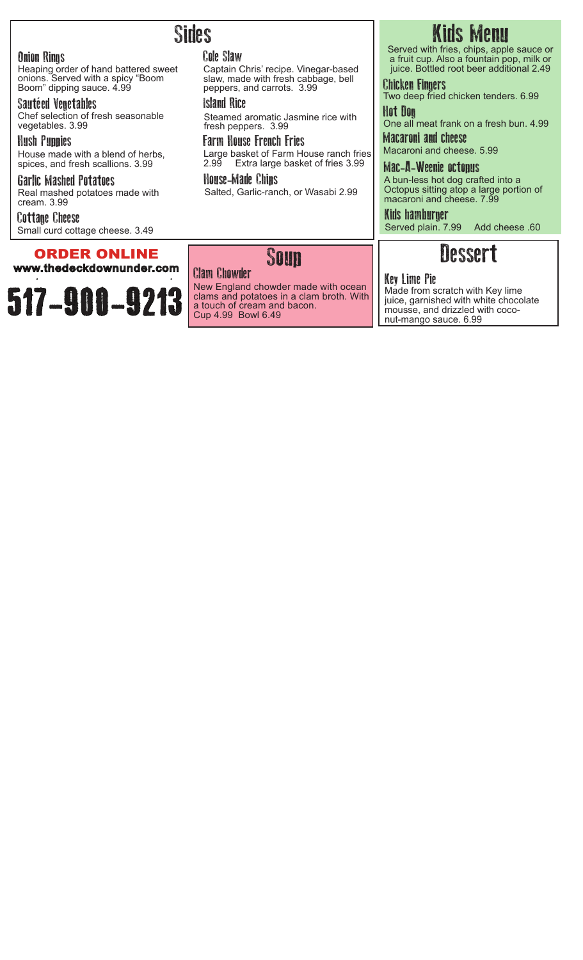### Onion Rings

Heaping order of hand battered sweet onions. Served with a spicy "Boom Boom" dipping sauce. 4.99

### Sautéed Vegetables

Chef selection of fresh seasonable vegetables. 3.99

### Hush Puppies

House made with a blend of herbs, spices, and fresh scallions. 3.99

### Garlic Mashed Potatoes Real mashed potatoes made with cream. 3.99

Cottage Cheese Small curd cottage cheese. 3.49

### ORDER ONLINE

www.thedeckdownunder.com

517-900-9213

## Sides

### Cole Slaw

Captain Chris' recipe. Vinegar-based slaw, made with fresh cabbage, bell peppers, and carrots. 3.99

### Island Rice

Steamed aromatic Jasmine rice with fresh peppers. 3.99

Farm House French Fries Large basket of Farm House ranch fries 2.99 Extra large basket of fries 3.99

House-Made Chips Salted, Garlic-ranch, or Wasabi 2.99

# Kids Menu<br>Served with fries, chips, apple sauce or

a fruit cup. Also a fountain pop, milk or juice. Bottled root beer additional 2.49

Chicken Fingers Two deep fried chicken tenders. 6.99

Hot Dog One all meat frank on a fresh bun. 4.99

Macaroni and cheese Macaroni and cheese. 5.99

Mac-A-Weenie octopus A bun-less hot dog crafted into a Octopus sitting atop a large portion of macaroni and cheese. 7.99

Kids hamburger Served plain. 7.99 Add cheese .60

## Dessert

### Key Lime Pie

Made from scratch with Key lime juice, garnished with white chocolate mousse, and drizzled with coconut-mango sauce. 6.99

# Soup Clam Chowder

New England chowder made with ocean clams and potatoes in a clam broth. With a touch of cream and bacon. Cup 4.99 Bowl 6.49